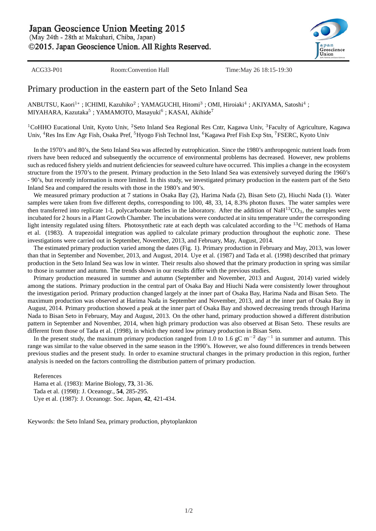Japan Geoscience Union Meeting 2015

(May 24th - 28th at Makuhari, Chiba, Japan)

©2015. Japan Geoscience Union. All Rights Reserved.



ACG33-P01 Room:Convention Hall Time:May 26 18:15-19:30

## Primary production in the eastern part of the Seto Inland Sea

ANBUTSU, Kaori<sup>1∗</sup> ; ICHIMI, Kazuhiko<sup>2</sup> ; YAMAGUCHI, Hitomi<sup>3</sup> ; OMI, Hiroiaki<sup>4</sup> ; AKIYAMA, Satoshi<sup>4</sup> ; MIYAHARA, Kazutaka $^5$  ; YAMAMOTO, Masayuki $^6$  ; KASAI, Akihide $^7$ 

<sup>1</sup>CoHHO Eucational Unit, Kyoto Univ, <sup>2</sup>Seto Inland Sea Regional Res Cntr, Kagawa Univ, <sup>3</sup>Faculty of Agriculture, Kagawa Univ, <sup>4</sup>Res Ins Env Agr Fish, Osaka Pref, <sup>5</sup>Hyogo Fish Technol Inst, <sup>6</sup>Kagawa Pref Fish Exp Stn, <sup>7</sup>FSERC, Kyoto Univ

In the 1970's and 80's, the Seto Inland Sea was affected by eutrophication. Since the 1980's anthropogenic nutrient loads from rivers have been reduced and subsequently the occurrence of environmental problems has decreased. However, new problems such as reduced fishery yields and nutrient deficiencies for seaweed culture have occurred. This implies a change in the ecosystem structure from the 1970's to the present. Primary production in the Seto Inland Sea was extensively surveyed during the 1960's - 90's, but recently information is more limited. In this study, we investigated primary production in the eastern part of the Seto Inland Sea and compared the results with those in the 1980's and 90's.

We measured primary production at 7 stations in Osaka Bay (2), Harima Nada (2), Bisan Seto (2), Hiuchi Nada (1). Water samples were taken from five different depths, corresponding to 100, 48, 33, 14, 8.3% photon fluxes. The water samples were then transferred into replicate 1-L polycarbonate bottles in the laboratory. After the addition of  $NaH^{13}CO<sub>3</sub>$ , the samples were incubated for 2 hours in a Plant Growth Chamber. The incubations were conducted at in situ temperature under the corresponding light intensity regulated using filters. Photosynthetic rate at each depth was calculated according to the <sup>13</sup>C methods of Hama et al. (1983). A trapezoidal integration was applied to calculate primary production throughout the euphotic zone. These investigations were carried out in September, November, 2013, and February, May, August, 2014.

The estimated primary production varied among the dates (Fig. 1). Primary production in February and May, 2013, was lower than that in September and November, 2013, and August, 2014. Uye et al. (1987) and Tada et al. (1998) described that primary production in the Seto Inland Sea was low in winter. Their results also showed that the primary production in spring was similar to those in summer and autumn. The trends shown in our results differ with the previous studies.

Primary production measured in summer and autumn (September and November, 2013 and August, 2014) varied widely among the stations. Primary production in the central part of Osaka Bay and Hiuchi Nada were consistently lower throughout the investigation period. Primary production changed largely at the inner part of Osaka Bay, Harima Nada and Bisan Seto. The maximum production was observed at Harima Nada in September and November, 2013, and at the inner part of Osaka Bay in August, 2014. Primary production showed a peak at the inner part of Osaka Bay and showed decreasing trends through Harima Nada to Bisan Seto in February, May and August, 2013. On the other hand, primary production showed a different distribution pattern in September and November, 2014, when high primary production was also observed at Bisan Seto. These results are different from those of Tada et al. (1998), in which they noted low primary production in Bisan Seto.

In the present study, the maximum primary production ranged from 1.0 to 1.6 gC m*−*<sup>2</sup> day*−*<sup>1</sup> in summer and autumn. This range was similar to the value observed in the same season in the 1990's. However, we also found differences in trends between previous studies and the present study. In order to examine structural changes in the primary production in this region, further analysis is needed on the factors controlling the distribution pattern of primary production.

References

Hama et al. (1983): Marine Biology, **73**, 31-36. Tada et al. (1998): J. Oceanogr., **54**, 285-295. Uye et al. (1987): J. Oceanogr. Soc. Japan, **42**, 421-434.

Keywords: the Seto Inland Sea, primary production, phytoplankton